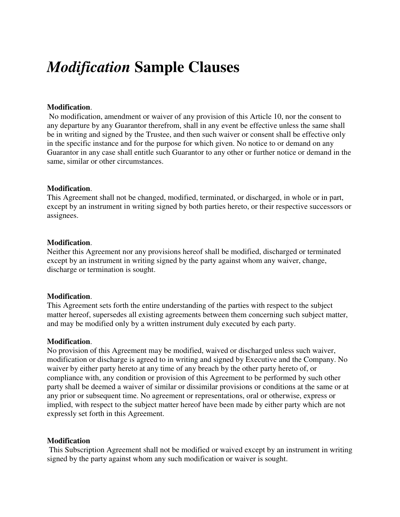# *Modification* **Sample Clauses**

# **Modification**.

 No modification, amendment or waiver of any provision of this Article 10, nor the consent to any departure by any Guarantor therefrom, shall in any event be effective unless the same shall be in writing and signed by the Trustee, and then such waiver or consent shall be effective only in the specific instance and for the purpose for which given. No notice to or demand on any Guarantor in any case shall entitle such Guarantor to any other or further notice or demand in the same, similar or other circumstances.

#### **Modification**.

This Agreement shall not be changed, modified, terminated, or discharged, in whole or in part, except by an instrument in writing signed by both parties hereto, or their respective successors or assignees.

#### **Modification**.

Neither this Agreement nor any provisions hereof shall be modified, discharged or terminated except by an instrument in writing signed by the party against whom any waiver, change, discharge or termination is sought.

# **Modification**.

This Agreement sets forth the entire understanding of the parties with respect to the subject matter hereof, supersedes all existing agreements between them concerning such subject matter, and may be modified only by a written instrument duly executed by each party.

#### **Modification**.

No provision of this Agreement may be modified, waived or discharged unless such waiver, modification or discharge is agreed to in writing and signed by Executive and the Company. No waiver by either party hereto at any time of any breach by the other party hereto of, or compliance with, any condition or provision of this Agreement to be performed by such other party shall be deemed a waiver of similar or dissimilar provisions or conditions at the same or at any prior or subsequent time. No agreement or representations, oral or otherwise, express or implied, with respect to the subject matter hereof have been made by either party which are not expressly set forth in this Agreement.

# **Modification**

 This Subscription Agreement shall not be modified or waived except by an instrument in writing signed by the party against whom any such modification or waiver is sought.